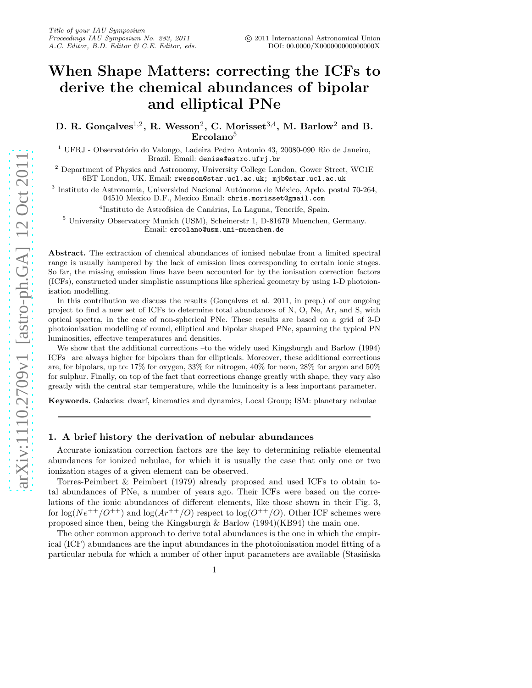# When Shape Matters: correcting the ICFs to derive the chemical abundances of bipolar and elliptical PNe

D. R. Gonçalves<sup>1,2</sup>, R. Wesson<sup>2</sup>, C. Morisset<sup>3,4</sup>, M. Barlow<sup>2</sup> and B.  $Ercolano<sup>5</sup>$ 

 $1$  UFRJ - Observatório do Valongo, Ladeira Pedro Antonio 43, 20080-090 Rio de Janeiro, Brazil. Email: denise@astro.ufrj.br

<sup>2</sup> Department of Physics and Astronomy, University College London, Gower Street, WC1E 6BT London, UK. Email: rwesson@star.ucl.ac.uk; mjb@star.ucl.ac.uk

 $^3$ Instituto de Astronomía, Universidad Nacional Autónoma de México, Apdo. postal  $70-264$ , 04510 Mexico D.F., Mexico Email: chris.morisset@gmail.com

<sup>4</sup>Instituto de Astrofísica de Canárias, La Laguna, Tenerife, Spain.

<sup>5</sup> University Observatory Munich (USM), Scheinerstr 1, D-81679 Muenchen, Germany. Email: ercolano@usm.uni-muenchen.de

Abstract. The extraction of chemical abundances of ionised nebulae from a limited spectral range is usually hampered by the lack of emission lines corresponding to certain ionic stages. So far, the missing emission lines have been accounted for by the ionisation correction factors (ICFs), constructed under simplistic assumptions like spherical geometry by using 1-D photoionisation modelling.

In this contribution we discuss the results (Goncalves et al.  $2011$ , in prep.) of our ongoing project to find a new set of ICFs to determine total abundances of N, O, Ne, Ar, and S, with optical spectra, in the case of non-spherical PNe. These results are based on a grid of 3-D photoionisation modelling of round, elliptical and bipolar shaped PNe, spanning the typical PN luminosities, effective temperatures and densities.

We show that the additional corrections –to the widely used Kingsburgh and Barlow (1994) ICFs– are always higher for bipolars than for ellipticals. Moreover, these additional corrections are, for bipolars, up to: 17% for oxygen, 33% for nitrogen, 40% for neon, 28% for argon and 50% for sulphur. Finally, on top of the fact that corrections change greatly with shape, they vary also greatly with the central star temperature, while the luminosity is a less important parameter.

Keywords. Galaxies: dwarf, kinematics and dynamics, Local Group; ISM: planetary nebulae

## 1. A brief history the derivation of nebular abundances

Accurate ionization correction factors are the key to determining reliable elemental abundances for ionized nebulae, for which it is usually the case that only one or two ionization stages of a given element can be observed.

Torres-Peimbert & Peimbert (1979) already proposed and used ICFs to obtain total abundances of PNe, a number of years ago. Their ICFs were based on the correlations of the ionic abundances of different elements, like those shown in their Fig. 3, for  $\log(Ne^{++}/O^{++})$  and  $\log(Rr^{++}/O)$  respect to  $\log(O^{++}/O)$ . Other ICF schemes were proposed since then, being the Kingsburgh  $\&$  Barlow (1994)(KB94) the main one.

The other common approach to derive total abundances is the one in which the empirical (ICF) abundances are the input abundances in the photoionisation model fitting of a particular nebula for which a number of other input parameters are available (Stasińska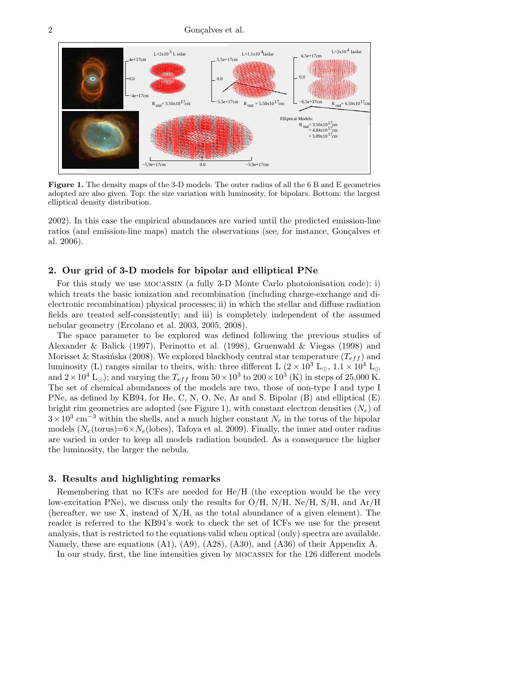2 Gonçalves et al.



Figure 1. The density maps of the 3-D models. The outer radius of all the 6 B and E geometries adopted are also given. Top: the size variation with luminosity, for bipolars. Bottom: the largest elliptical density distribution.

2002). In this case the empirical abundances are varied until the predicted emission-line ratios (and emission-line maps) match the observations (see, for instance, Gonçalves et al. 2006).

## 2. Our grid of 3-D models for bipolar and elliptical PNe

For this study we use mocassin (a fully 3-D Monte Carlo photoionisation code): i) which treats the basic ionization and recombination (including charge-exchange and dielectronic recombination) physical processes; ii) in which the stellar and diffuse radiation fields are treated self-consistently; and iii) is completely independent of the assumed nebular geometry (Ercolano et al. 2003, 2005, 2008).

The space parameter to be explored was defined following the previous studies of Alexander & Balick (1997), Perinotto et al. (1998), Gruenwald & Viegas (1998) and Morisset & Stasińska (2008). We explored blackbody central star temperature  $(T_{eff})$  and luminosity (L) ranges similar to theirs, with: three different L  $(2 \times 10^3 \text{ L}_{\odot}, 1.1 \times 10^4 \text{ L}_{\odot})$ and  $2 \times 10^4$  L<sub>☉</sub>); and varying the  $T_{eff}$  from  $50 \times 10^3$  to  $200 \times 10^3$  (K) in steps of 25,000 K. The set of chemical abundances of the models are two, those of non-type I and type I PNe, as defined by KB94, for He, C, N, O, Ne, Ar and S. Bipolar (B) and elliptical (E) bright rim geometries are adopted (see Figure 1), with constant electron densities  $(N_e)$  of  $3 \times 10^3$  cm<sup>-3</sup> within the shells, and a much higher constant  $N_e$  in the torus of the bipolar models ( $N_e$ (torus)=6× $N_e$ (lobes), Tafoya et al. 2009). Finally, the inner and outer radius are varied in order to keep all models radiation bounded. As a consequence the higher the luminosity, the larger the nebula.

### 3. Results and highlighting remarks

Remembering that no ICFs are needed for He/H (the exception would be the very low-excitation PNe), we discuss only the results for  $O/H$ ,  $N/H$ ,  $Ne/H$ ,  $S/H$ , and  $Ar/H$ (hereafter, we use X, instead of  $X/H$ , as the total abundance of a given element). The reader is referred to the KB94's work to check the set of ICFs we use for the present analysis, that is restricted to the equations valid when optical (only) spectra are available. Namely, these are equations (A1), (A9), (A28), (A30), and (A36) of their Appendix A.

In our study, first, the line intensities given by mocassin for the 126 different models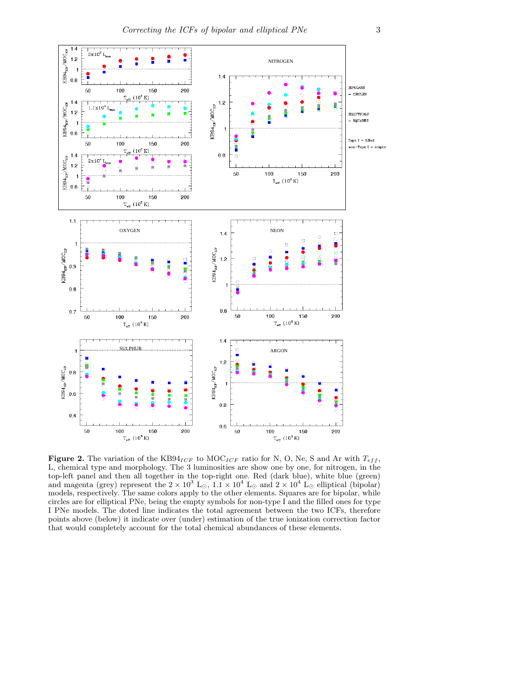

Figure 2. The variation of the KB94<sub>ICF</sub> to MOC<sub>ICF</sub> ratio for N, O, Ne, S and Ar with  $T_{eff}$ , L, chemical type and morphology. The 3 luminosities are show one by one, for nitrogen, in the top-left panel and then all together in the top-right one. Red (dark blue), white blue (green) and magenta (grey) represent the  $2 \times 10^3$  L<sub>☉</sub>,  $1.1 \times 10^4$  L<sub>☉</sub> and  $2 \times 10^4$  L<sub>☉</sub> elliptical (bipolar) models, respectively. The same colors apply to the other elements. Squares are for bipolar, while circles are for elliptical PNe, being the empty symbols for non-type I and the filled ones for type I PNe models. The doted line indicates the total agreement between the two ICFs, therefore points above (below) it indicate over (under) estimation of the true ionization correction factor that would completely account for the total chemical abundances of these elements.